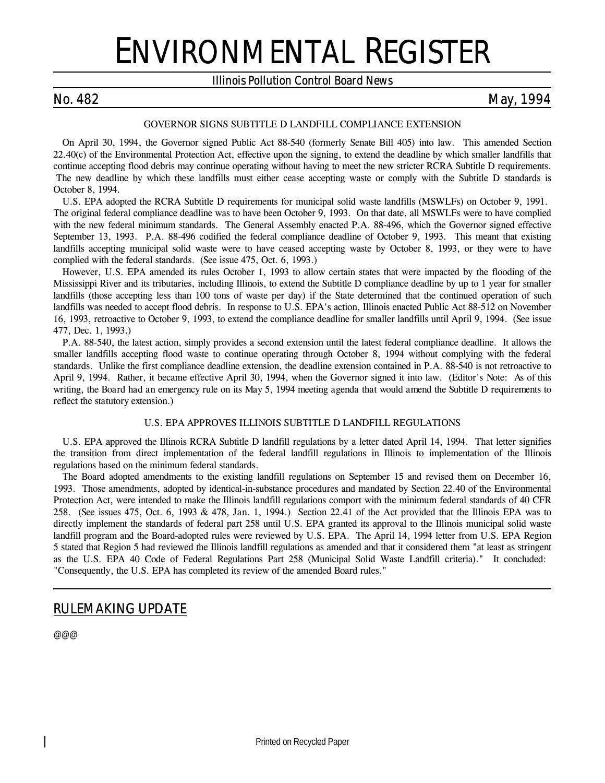# ENVIRONMENTAL REGISTER

### *Illinois Pollution Control Board News*

### *No. 482 May, 1994*

### *GOVERNOR SIGNS SUBTITLE D LANDFILL COMPLIANCE EXTENSION*

On April 30, 1994, the Governor signed Public Act 88-540 (formerly Senate Bill 405) into law. This amended Section 22.40(c) of the Environmental Protection Act, effective upon the signing, to extend the deadline by which smaller landfills that continue accepting flood debris may continue operating without having to meet the new stricter RCRA Subtitle D requirements. The new deadline by which these landfills must either cease accepting waste or comply with the Subtitle D standards is October 8, 1994.

U.S. EPA adopted the RCRA Subtitle D requirements for municipal solid waste landfills (MSWLFs) on October 9, 1991. The original federal compliance deadline was to have been October 9, 1993. On that date, all MSWLFs were to have complied with the new federal minimum standards. The General Assembly enacted P.A. 88-496, which the Governor signed effective September 13, 1993. P.A. 88-496 codified the federal compliance deadline of October 9, 1993. This meant that existing landfills accepting municipal solid waste were to have ceased accepting waste by October 8, 1993, or they were to have complied with the federal standards. (*See issue 475, Oct. 6, 1993.*)

However, U.S. EPA amended its rules October 1, 1993 to allow certain states that were impacted by the flooding of the Mississippi River and its tributaries, including Illinois, to extend the Subtitle D compliance deadline by up to 1 year for smaller landfills (those accepting less than 100 tons of waste per day) if the State determined that the continued operation of such landfills was needed to accept flood debris. In response to U.S. EPA's action, Illinois enacted Public Act 88-512 on November 16, 1993, retroactive to October 9, 1993, to extend the compliance deadline for smaller landfills until April 9, 1994. (*See issue 477, Dec. 1, 1993.*)

P.A. 88-540, the latest action, simply provides a second extension until the latest federal compliance deadline. It allows the smaller landfills accepting flood waste to continue operating through October 8, 1994 without complying with the federal standards. Unlike the first compliance deadline extension, the deadline extension contained in P.A. 88-540 is not retroactive to April 9, 1994. Rather, it became effective April 30, 1994, when the Governor signed it into law. (*Editor's Note: As of this writing, the Board had an emergency rule on its May 5, 1994 meeting agenda that would amend the Subtitle D requirements to reflect the statutory extension.*)

### *U.S. EPA APPROVES ILLINOIS SUBTITLE D LANDFILL REGULATIONS*

U.S. EPA approved the Illinois RCRA Subtitle D landfill regulations by a letter dated April 14, 1994. That letter signifies the transition from direct implementation of the federal landfill regulations in Illinois to implementation of the Illinois regulations based on the minimum federal standards.

The Board adopted amendments to the existing landfill regulations on September 15 and revised them on December 16, 1993. Those amendments, adopted by identical-in-substance procedures and mandated by Section 22.40 of the Environmental Protection Act, were intended to make the Illinois landfill regulations comport with the minimum federal standards of 40 CFR 258. (*See issues 475, Oct. 6, 1993 & 478, Jan. 1, 1994.*) Section 22.41 of the Act provided that the Illinois EPA was to directly implement the standards of federal part 258 until U.S. EPA granted its approval to the Illinois municipal solid waste landfill program and the Board-adopted rules were reviewed by U.S. EPA. The April 14, 1994 letter from U.S. EPA Region 5 stated that Region 5 had reviewed the Illinois landfill regulations as amended and that it considered them "at least as stringent as the U.S. EPA 40 Code of Federal Regulations Part 258 (Municipal Solid Waste Landfill criteria)." It concluded: "Consequently, the U.S. EPA has completed its review of the amended Board rules."

### *RULEMAKING UPDATE*

@@@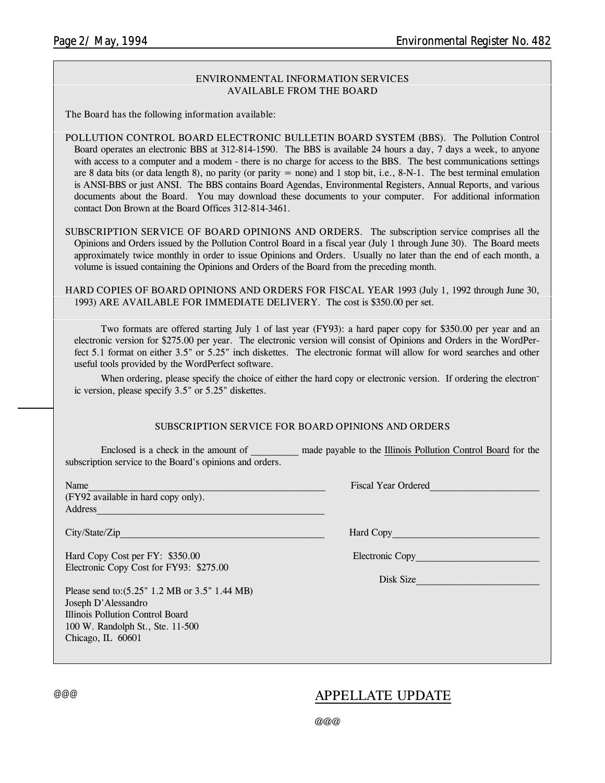### **ENVIRONMENTAL INFORMATION SERVICES AVAILABLE FROM THE BOARD**

**The Board has the following information available:**

**POLLUTION CONTROL BOARD ELECTRONIC BULLETIN BOARD SYSTEM (BBS).** The Pollution Control Board operates an electronic BBS at 312-814-1590. The BBS is available 24 hours a day, 7 days a week, to anyone with access to a computer and a modem - there is no charge for access to the BBS. The best communications settings are 8 data bits (or data length 8), no parity (or parity = none) and 1 stop bit, i.e.,  $8-N-1$ . The best terminal emulation is ANSI-BBS or just ANSI. The BBS contains Board Agendas, Environmental Registers, Annual Reports, and various documents about the Board. You may download these documents to your computer. For additional information contact Don Brown at the Board Offices 312-814-3461.

**SUBSCRIPTION SERVICE OF BOARD OPINIONS AND ORDERS.** The subscription service comprises all the Opinions and Orders issued by the Pollution Control Board in a fiscal year (July 1 through June 30). The Board meets approximately twice monthly in order to issue Opinions and Orders. Usually no later than the end of each month, a volume is issued containing the Opinions and Orders of the Board from the preceding month.

**HARD COPIES OF BOARD OPINIONS AND ORDERS FOR FISCAL YEAR 1993** (July 1, 1992 through June 30, 1993) **ARE AVAILABLE FOR IMMEDIATE DELIVERY.** The cost is \$350.00 per set.

Two formats are offered starting July 1 of last year (FY93): a hard paper copy for \$350.00 per year and an electronic version for \$275.00 per year. The electronic version will consist of Opinions and Orders in the WordPerfect 5.1 format on either 3.5" or 5.25" inch diskettes. The electronic format will allow for word searches and other useful tools provided by the WordPerfect software.

When ordering, please specify the choice of either the hard copy or electronic version. If ordering the electronic version, please specify 3.5" or 5.25" diskettes.

### **SUBSCRIPTION SERVICE FOR BOARD OPINIONS AND ORDERS**

Enclosed is a check in the amount of \_\_\_\_\_\_\_\_\_ made payable to the Illinois Pollution Control Board for the subscription service to the Board's opinions and orders.

(FY92 available in hard copy only). Address\_\_\_\_\_\_\_\_\_\_\_\_\_\_\_\_\_\_\_\_\_\_\_\_\_\_\_\_\_\_\_\_\_\_\_\_\_\_\_\_\_\_\_\_\_\_\_\_

Hard Copy Cost per FY: \$350.00 Electronic Copy\_\_\_\_\_\_\_\_\_\_\_\_\_\_\_\_\_\_\_\_\_\_\_\_\_\_\_\_\_\_\_\_\_\_ Electronic Copy Cost for FY93: \$275.00

Please send to:(5.25" 1.2 MB or 3.5" 1.44 MB) Joseph D'Alessandro Illinois Pollution Control Board 100 W. Randolph St., Ste. 11-500 Chicago, IL 60601

Name Tiscal Year Ordered

City/State/Zip Hard Copy

Disk Size

### @@@ *APPELLATE UPDATE*

@@@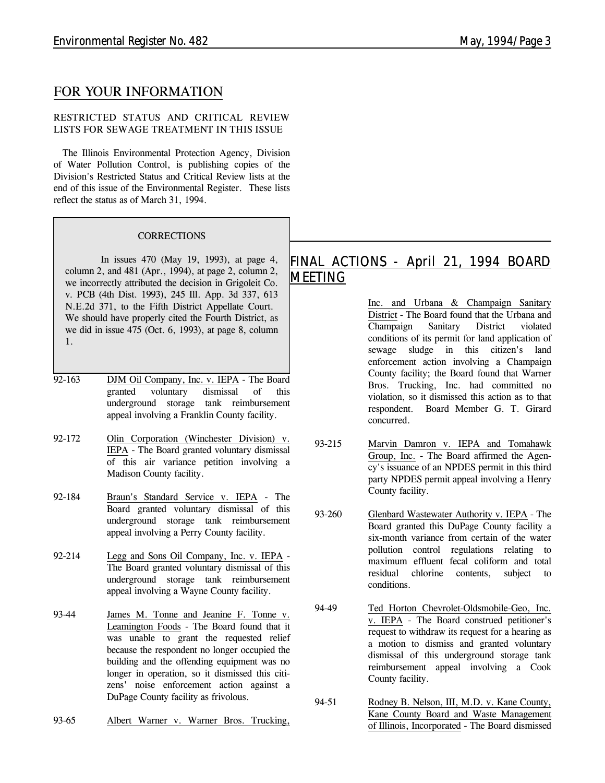### *FOR YOUR INFORMATION*

### **RESTRICTED STATUS AND CRITICAL REVIEW LISTS FOR SEWAGE TREATMENT IN THIS ISSUE**

The Illinois Environmental Protection Agency, Division of Water Pollution Control, is publishing copies of the Division's Restricted Status and Critical Review lists at the end of this issue of the Environmental Register. These lists reflect the status as of March 31, 1994.

### *CORRECTIONS*

In issues 470 (May 19, 1993), at page 4, column 2, and 481 (Apr., 1994), at page 2, column 2, we incorrectly attributed the decision in *Grigoleit Co. v. PCB* (4th Dist. 1993), 245 Ill. App. 3d 337, 613 N.E.2d 371, to the Fifth District Appellate Court. We should have properly cited the Fourth District, as we did in issue 475 (Oct. 6, 1993), at page 8, column 1.

- 92-163 DJM Oil Company, Inc. v. IEPA The Board granted voluntary dismissal of this underground storage tank reimbursement appeal involving a Franklin County facility.
- 92-172 Olin Corporation (Winchester Division) v. IEPA - The Board granted voluntary dismissal of this air variance petition involving a Madison County facility.
- 92-184 Braun's Standard Service v. IEPA The Board granted voluntary dismissal of this underground storage tank reimbursement appeal involving a Perry County facility.
- 92-214 Legg and Sons Oil Company, Inc. v. IEPA The Board granted voluntary dismissal of this underground storage tank reimbursement appeal involving a Wayne County facility.
- 93-44 James M. Tonne and Jeanine F. Tonne v. Leamington Foods - The Board found that it was unable to grant the requested relief because the respondent no longer occupied the building and the offending equipment was no longer in operation, so it dismissed this citizens' noise enforcement action against a DuPage County facility as frivolous.
- 93-65 Albert Warner v. Warner Bros. Trucking,

### *FINAL ACTIONS - April 21, 1994 BOARD MEETING*

Inc. and Urbana & Champaign Sanitary District - The Board found that the Urbana and Champaign Sanitary District violated conditions of its permit for land application of sewage sludge in this citizen's land enforcement action involving a Champaign County facility; the Board found that Warner Bros. Trucking, Inc. had committed no violation, so it dismissed this action as to that respondent. Board Member G. T. Girard concurred.

- 93-215 Marvin Damron v. IEPA and Tomahawk Group, Inc. - The Board affirmed the Agency's issuance of an NPDES permit in this third party NPDES permit appeal involving a Henry County facility.
- 93-260 Glenbard Wastewater Authority v. IEPA The Board granted this DuPage County facility a six-month variance from certain of the water pollution control regulations relating to maximum effluent fecal coliform and total residual chlorine contents, subject to conditions.
- 94-49 Ted Horton Chevrolet-Oldsmobile-Geo, Inc. v. IEPA - The Board construed petitioner's request to withdraw its request for a hearing as a motion to dismiss and granted voluntary dismissal of this underground storage tank reimbursement appeal involving a Cook County facility.
- 94-51 Rodney B. Nelson, III, M.D. v. Kane County, Kane County Board and Waste Management of Illinois, Incorporated - The Board dismissed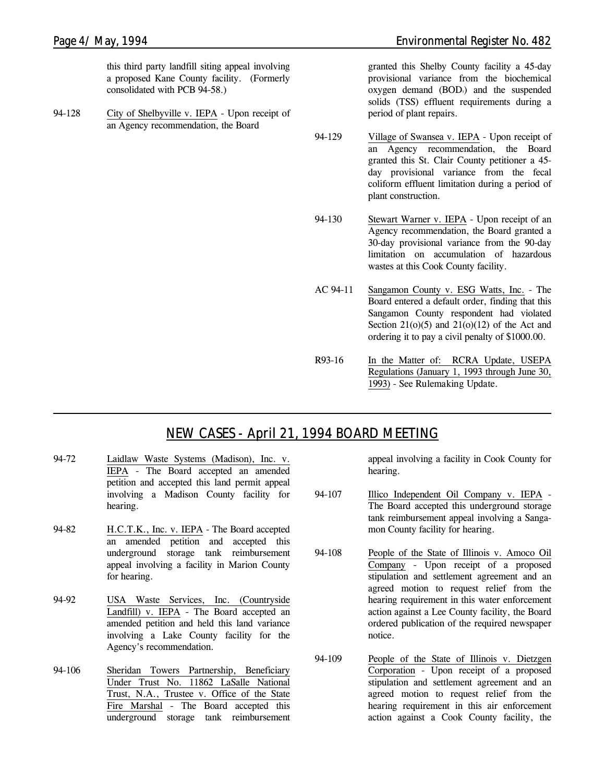this third party landfill siting appeal involving a proposed Kane County facility. (Formerly consolidated with PCB 94-58.)

94-128 City of Shelbyville v. IEPA - Upon receipt of an Agency recommendation, the Board

granted this Shelby County facility a 45-day provisional variance from the biochemical oxygen demand (BOD<sub>5</sub>) and the suspended solids (TSS) effluent requirements during a period of plant repairs.

- 94-129 Village of Swansea v. IEPA Upon receipt of an Agency recommendation, the Board granted this St. Clair County petitioner a 45 day provisional variance from the fecal coliform effluent limitation during a period of plant construction.
- 94-130 Stewart Warner v. IEPA Upon receipt of an Agency recommendation, the Board granted a 30-day provisional variance from the 90-day limitation on accumulation of hazardous wastes at this Cook County facility.
- AC 94-11 Sangamon County v. ESG Watts, Inc. The Board entered a default order, finding that this Sangamon County respondent had violated Section  $21(0)(5)$  and  $21(0)(12)$  of the Act and ordering it to pay a civil penalty of \$1000.00.
- R93-16 In the Matter of: RCRA Update, USEPA Regulations (January 1, 1993 through June 30, 1993) - *See Rulemaking Update.*

### *NEW CASES - April 21, 1994 BOARD MEETING*

- 94-72 Laidlaw Waste Systems (Madison), Inc. v. IEPA - The Board accepted an amended petition and accepted this land permit appeal involving a Madison County facility for hearing.
- 94-82 H.C.T.K., Inc. v. IEPA The Board accepted an amended petition and accepted this underground storage tank reimbursement appeal involving a facility in Marion County for hearing.
- 94-92 USA Waste Services, Inc. (Countryside Landfill) v. IEPA - The Board accepted an amended petition and held this land variance involving a Lake County facility for the Agency's recommendation.
- 94-106 Sheridan Towers Partnership, Beneficiary Under Trust No. 11862 LaSalle National Trust, N.A., Trustee v. Office of the State Fire Marshal - The Board accepted this underground storage tank reimbursement

appeal involving a facility in Cook County for hearing.

- 94-107 Illico Independent Oil Company v. IEPA The Board accepted this underground storage tank reimbursement appeal involving a Sangamon County facility for hearing.
- 94-108 People of the State of Illinois v. Amoco Oil Company - Upon receipt of a proposed stipulation and settlement agreement and an agreed motion to request relief from the hearing requirement in this water enforcement action against a Lee County facility, the Board ordered publication of the required newspaper notice.
- 94-109 People of the State of Illinois v. Dietzgen Corporation - Upon receipt of a proposed stipulation and settlement agreement and an agreed motion to request relief from the hearing requirement in this air enforcement action against a Cook County facility, the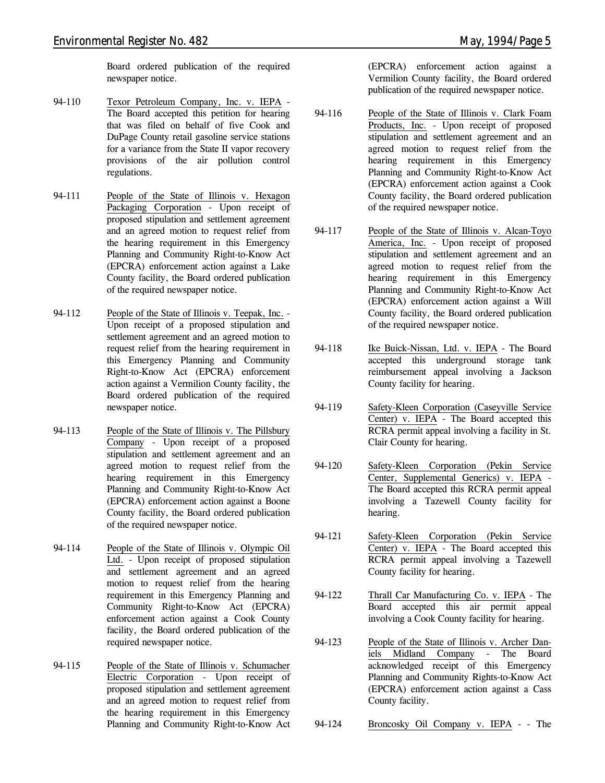Board ordered publication of the required newspaper notice.

- 94-110 Texor Petroleum Company, Inc. v. IEPA The Board accepted this petition for hearing that was filed on behalf of five Cook and DuPage County retail gasoline service stations for a variance from the State II vapor recovery provisions of the air pollution control regulations.
- 94-111 People of the State of Illinois v. Hexagon Packaging Corporation - Upon receipt of proposed stipulation and settlement agreement and an agreed motion to request relief from the hearing requirement in this Emergency Planning and Community Right-to-Know Act (EPCRA) enforcement action against a Lake County facility, the Board ordered publication of the required newspaper notice.
- 94-112 People of the State of Illinois v. Teepak, Inc. Upon receipt of a proposed stipulation and settlement agreement and an agreed motion to request relief from the hearing requirement in this Emergency Planning and Community Right-to-Know Act (EPCRA) enforcement action against a Vermilion County facility, the Board ordered publication of the required newspaper notice.
- 94-113 People of the State of Illinois v. The Pillsbury Company - Upon receipt of a proposed stipulation and settlement agreement and an agreed motion to request relief from the hearing requirement in this Emergency Planning and Community Right-to-Know Act (EPCRA) enforcement action against a Boone County facility, the Board ordered publication of the required newspaper notice.
- 94-114 People of the State of Illinois v. Olympic Oil Ltd. - Upon receipt of proposed stipulation and settlement agreement and an agreed motion to request relief from the hearing requirement in this Emergency Planning and Community Right-to-Know Act (EPCRA) enforcement action against a Cook County facility, the Board ordered publication of the required newspaper notice.
- 94-115 People of the State of Illinois v. Schumacher Electric Corporation - Upon receipt of proposed stipulation and settlement agreement and an agreed motion to request relief from the hearing requirement in this Emergency Planning and Community Right-to-Know Act

(EPCRA) enforcement action against a Vermilion County facility, the Board ordered publication of the required newspaper notice.

- 94-116 People of the State of Illinois v. Clark Foam Products, Inc. - Upon receipt of proposed stipulation and settlement agreement and an agreed motion to request relief from the hearing requirement in this Emergency Planning and Community Right-to-Know Act (EPCRA) enforcement action against a Cook County facility, the Board ordered publication of the required newspaper notice.
- 94-117 People of the State of Illinois v. Alcan-Toyo America, Inc. - Upon receipt of proposed stipulation and settlement agreement and an agreed motion to request relief from the hearing requirement in this Emergency Planning and Community Right-to-Know Act (EPCRA) enforcement action against a Will County facility, the Board ordered publication of the required newspaper notice.
- 94-118 Ike Buick-Nissan, Ltd. v. IEPA The Board accepted this underground storage tank reimbursement appeal involving a Jackson County facility for hearing.
- 94-119 Safety-Kleen Corporation (Caseyville Service Center) v. IEPA - The Board accepted this RCRA permit appeal involving a facility in St. Clair County for hearing.
- 94-120 Safety-Kleen Corporation (Pekin Service Center, Supplemental Generics) v. IEPA - The Board accepted this RCRA permit appeal involving a Tazewell County facility for hearing.
- 94-121 Safety-Kleen Corporation (Pekin Service Center) v. IEPA - The Board accepted this RCRA permit appeal involving a Tazewell County facility for hearing.
- 94-122 Thrall Car Manufacturing Co. v. IEPA The Board accepted this air permit appeal involving a Cook County facility for hearing.
- 94-123 People of the State of Illinois v. Archer Daniels Midland Company - The Board acknowledged receipt of this Emergency Planning and Community Rights-to-Know Act (EPCRA) enforcement action against a Cass County facility.
- 94-124 Broncosky Oil Company v. IEPA - The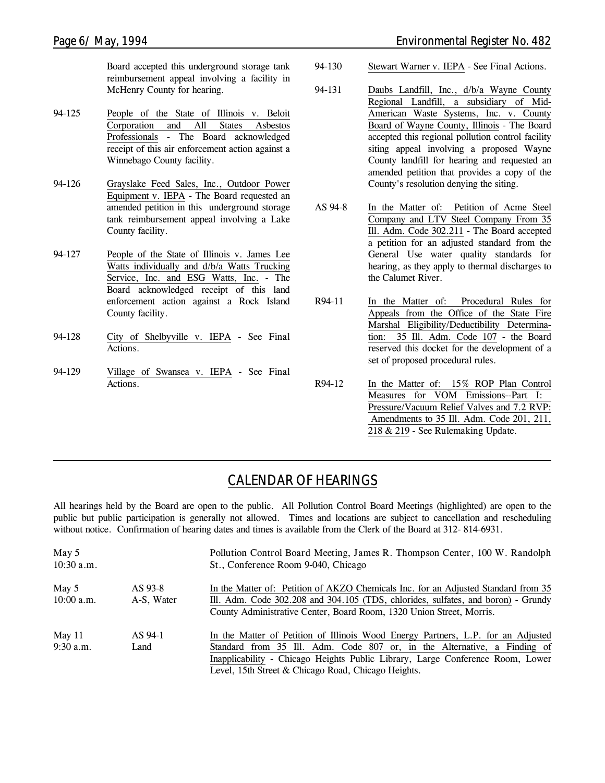Board accepted this underground storage tank reimbursement appeal involving a facility in McHenry County for hearing.

- 94-125 People of the State of Illinois v. Beloit Corporation and All States Asbestos Professionals - The Board acknowledged receipt of this air enforcement action against a Winnebago County facility.
- 94-126 Grayslake Feed Sales, Inc., Outdoor Power Equipment v. IEPA - The Board requested an amended petition in this underground storage tank reimbursement appeal involving a Lake County facility.
- 94-127 People of the State of Illinois v. James Lee Watts individually and d/b/a Watts Trucking Service, Inc. and ESG Watts, Inc. - The Board acknowledged receipt of this land enforcement action against a Rock Island County facility.
- 94-128 City of Shelbyville v. IEPA *See Final Actions.*
- 94-129 Village of Swansea v. IEPA *See Final Actions.*
- 94-130 Stewart Warner v. IEPA *See Final Actions.*
- 94-131 Daubs Landfill, Inc., d/b/a Wayne County Regional Landfill, a subsidiary of Mid-American Waste Systems, Inc. v. County Board of Wayne County, Illinois - The Board accepted this regional pollution control facility siting appeal involving a proposed Wayne County landfill for hearing and requested an amended petition that provides a copy of the County's resolution denying the siting.
- AS 94-8 In the Matter of: Petition of Acme Steel Company and LTV Steel Company From 35 Ill. Adm. Code 302.211 - The Board accepted a petition for an adjusted standard from the General Use water quality standards for hearing, as they apply to thermal discharges to the Calumet River.
- R94-11 In the Matter of: Procedural Rules for Appeals from the Office of the State Fire Marshal Eligibility/Deductibility Determination: 35 Ill. Adm. Code 107 - the Board reserved this docket for the development of a set of proposed procedural rules.
- R94-12 In the Matter of: 15% ROP Plan Control Measures for VOM Emissions--Part I: Pressure/Vacuum Relief Valves and 7.2 RVP: Amendments to 35 Ill. Adm. Code 201, 211, 218 & 219 - *See Rulemaking Update.*

# *CALENDAR OF HEARINGS*

All hearings held by the Board are open to the public. All Pollution Control Board Meetings (highlighted) are open to the public but public participation is generally not allowed. Times and locations are subject to cancellation and rescheduling without notice. Confirmation of hearing dates and times is available from the Clerk of the Board at 312-814-6931.

| May 5<br>$10:30$ a.m.   |                       | Pollution Control Board Meeting, James R. Thompson Center, 100 W. Randolph<br>St., Conference Room 9-040, Chicago                                                                                                                                                                                     |
|-------------------------|-----------------------|-------------------------------------------------------------------------------------------------------------------------------------------------------------------------------------------------------------------------------------------------------------------------------------------------------|
| May 5<br>$10:00$ a.m.   | AS 93-8<br>A-S, Water | In the Matter of: Petition of AKZO Chemicals Inc. for an Adjusted Standard from 35<br>Ill. Adm. Code 302.208 and 304.105 (TDS, chlorides, sulfates, and boron) - Grundy<br>County Administrative Center, Board Room, 1320 Union Street, Morris.                                                       |
| May $11$<br>$9:30$ a.m. | AS 94-1<br>Land       | In the Matter of Petition of Illinois Wood Energy Partners, L.P. for an Adjusted<br>Standard from 35 Ill. Adm. Code 807 or, in the Alternative, a Finding of<br>Inapplicability - Chicago Heights Public Library, Large Conference Room, Lower<br>Level, 15th Street & Chicago Road, Chicago Heights. |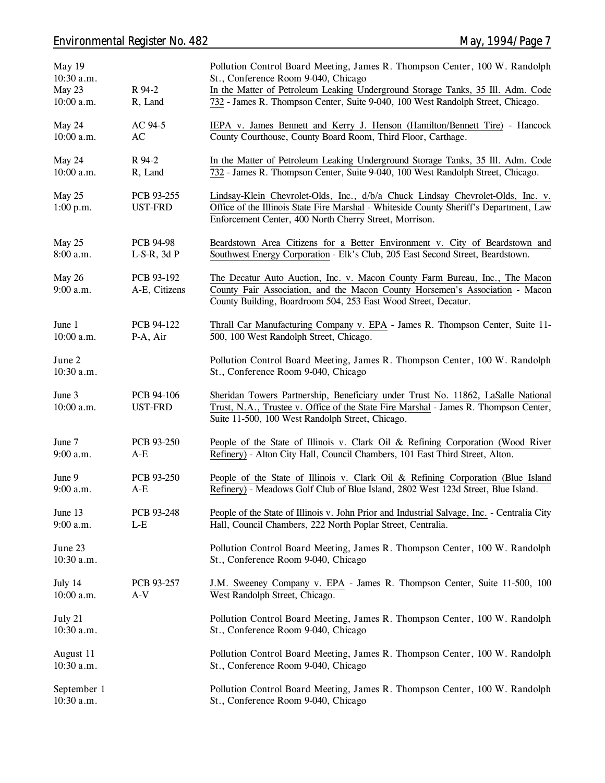## *Environmental Register No. 482 May, 1994/Page 7*

| May 19<br>10:30 a.m.<br>May 23<br>10:00 a.m. | R 94-2<br>R, Land             | Pollution Control Board Meeting, James R. Thompson Center, 100 W. Randolph<br>St., Conference Room 9-040, Chicago<br>In the Matter of Petroleum Leaking Underground Storage Tanks, 35 Ill. Adm. Code<br>732 - James R. Thompson Center, Suite 9-040, 100 West Randolph Street, Chicago. |
|----------------------------------------------|-------------------------------|-----------------------------------------------------------------------------------------------------------------------------------------------------------------------------------------------------------------------------------------------------------------------------------------|
| May 24<br>10:00 a.m.                         | AC 94-5<br>AC                 | IEPA v. James Bennett and Kerry J. Henson (Hamilton/Bennett Tire) - Hancock<br>County Courthouse, County Board Room, Third Floor, Carthage.                                                                                                                                             |
| May 24<br>10:00 a.m.                         | R 94-2<br>R, Land             | In the Matter of Petroleum Leaking Underground Storage Tanks, 35 Ill. Adm. Code<br>732 - James R. Thompson Center, Suite 9-040, 100 West Randolph Street, Chicago.                                                                                                                      |
| May 25<br>1:00 p.m.                          | PCB 93-255<br><b>UST-FRD</b>  | Lindsay-Klein Chevrolet-Olds, Inc., d/b/a Chuck Lindsay Chevrolet-Olds, Inc. v.<br>Office of the Illinois State Fire Marshal - Whiteside County Sheriff's Department, Law<br>Enforcement Center, 400 North Cherry Street, Morrison.                                                     |
| May 25<br>8:00 a.m.                          | PCB 94-98<br>$L-S-R$ , 3d $P$ | Beardstown Area Citizens for a Better Environment v. City of Beardstown and<br>Southwest Energy Corporation - Elk's Club, 205 East Second Street, Beardstown.                                                                                                                           |
| May 26<br>9:00 a.m.                          | PCB 93-192<br>A-E, Citizens   | The Decatur Auto Auction, Inc. v. Macon County Farm Bureau, Inc., The Macon<br>County Fair Association, and the Macon County Horsemen's Association - Macon<br>County Building, Boardroom 504, 253 East Wood Street, Decatur.                                                           |
| June 1<br>10:00 a.m.                         | PCB 94-122<br>P-A, Air        | Thrall Car Manufacturing Company v. EPA - James R. Thompson Center, Suite 11-<br>500, 100 West Randolph Street, Chicago.                                                                                                                                                                |
| June 2<br>10:30 a.m.                         |                               | Pollution Control Board Meeting, James R. Thompson Center, 100 W. Randolph<br>St., Conference Room 9-040, Chicago                                                                                                                                                                       |
| June 3<br>10:00 a.m.                         | PCB 94-106<br><b>UST-FRD</b>  | Sheridan Towers Partnership, Beneficiary under Trust No. 11862, LaSalle National<br>Trust, N.A., Trustee v. Office of the State Fire Marshal - James R. Thompson Center,<br>Suite 11-500, 100 West Randolph Street, Chicago.                                                            |
| June 7<br>9:00 a.m.                          | PCB 93-250<br>$A-E$           | People of the State of Illinois v. Clark Oil & Refining Corporation (Wood River<br>Refinery) - Alton City Hall, Council Chambers, 101 East Third Street, Alton.                                                                                                                         |
| June 9<br>9:00 a.m.                          | PCB 93-250<br>$A-E$           | People of the State of Illinois v. Clark Oil & Refining Corporation (Blue Island<br>Refinery) - Meadows Golf Club of Blue Island, 2802 West 123d Street, Blue Island.                                                                                                                   |
| June 13<br>9:00 a.m.                         | PCB 93-248<br>$L-E$           | People of the State of Illinois v. John Prior and Industrial Salvage, Inc. - Centralia City<br>Hall, Council Chambers, 222 North Poplar Street, Centralia.                                                                                                                              |
| June 23<br>10:30 a.m.                        |                               | Pollution Control Board Meeting, James R. Thompson Center, 100 W. Randolph<br>St., Conference Room 9-040, Chicago                                                                                                                                                                       |
| July 14<br>10:00 a.m.                        | PCB 93-257<br>$A-V$           | J.M. Sweeney Company v. EPA - James R. Thompson Center, Suite 11-500, 100<br>West Randolph Street, Chicago.                                                                                                                                                                             |
| July 21<br>10:30 a.m.                        |                               | Pollution Control Board Meeting, James R. Thompson Center, 100 W. Randolph<br>St., Conference Room 9-040, Chicago                                                                                                                                                                       |
| August 11<br>10:30 a.m.                      |                               | Pollution Control Board Meeting, James R. Thompson Center, 100 W. Randolph<br>St., Conference Room 9-040, Chicago                                                                                                                                                                       |
| September 1<br>10:30 a.m.                    |                               | Pollution Control Board Meeting, James R. Thompson Center, 100 W. Randolph<br>St., Conference Room 9-040, Chicago                                                                                                                                                                       |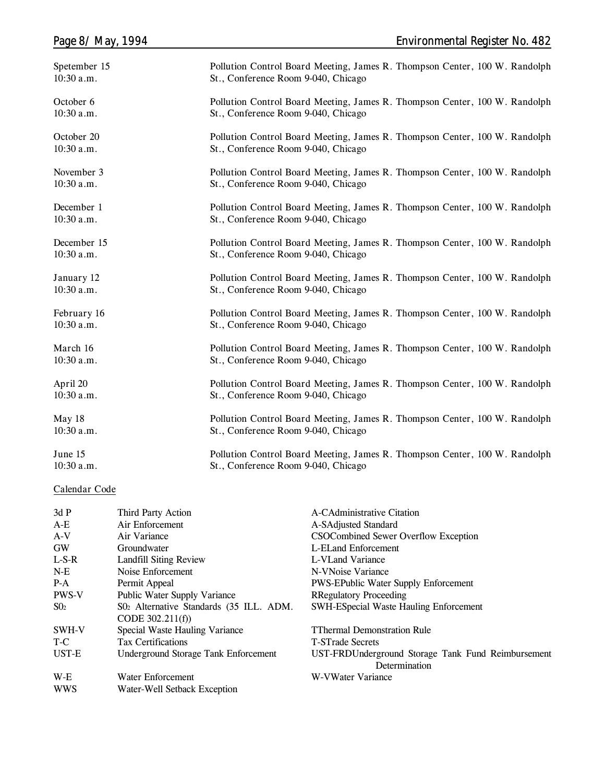| Page 8/ May, 1994 | <b>Environmental Register No. 482</b>                                      |
|-------------------|----------------------------------------------------------------------------|
| Spetember 15      | Pollution Control Board Meeting, James R. Thompson Center, 100 W. Randolph |
| $10:30$ a.m.      | St., Conference Room 9-040, Chicago                                        |
| October 6         | Pollution Control Board Meeting, James R. Thompson Center, 100 W. Randolph |
| $10:30$ a.m.      | St., Conference Room 9-040, Chicago                                        |
| October 20        | Pollution Control Board Meeting, James R. Thompson Center, 100 W. Randolph |
| $10:30$ a.m.      | St., Conference Room 9-040, Chicago                                        |
| November 3        | Pollution Control Board Meeting, James R. Thompson Center, 100 W. Randolph |
| 10:30 a.m.        | St., Conference Room 9-040, Chicago                                        |
| December 1        | Pollution Control Board Meeting, James R. Thompson Center, 100 W. Randolph |
| $10:30$ a.m.      | St., Conference Room 9-040, Chicago                                        |
| December 15       | Pollution Control Board Meeting, James R. Thompson Center, 100 W. Randolph |
| $10:30$ a.m.      | St., Conference Room 9-040, Chicago                                        |
| January 12        | Pollution Control Board Meeting, James R. Thompson Center, 100 W. Randolph |
| $10:30$ a.m.      | St., Conference Room 9-040, Chicago                                        |
| February 16       | Pollution Control Board Meeting, James R. Thompson Center, 100 W. Randolph |
| $10:30$ a.m.      | St., Conference Room 9-040, Chicago                                        |
| March 16          | Pollution Control Board Meeting, James R. Thompson Center, 100 W. Randolph |
| $10:30$ a.m.      | St., Conference Room 9-040, Chicago                                        |
|                   |                                                                            |

**April 20 10:30 a.m. Pollution Control Board Meeting, James R. Thompson Center, 100 W. Randolph St., Conference Room 9-040, Chicago**

**Pollution Control Board Meeting, James R. Thompson Center, 100 W. Randolph**

**10:30 a.m. St., Conference Room 9-040, Chicago June 15 Pollution Control Board Meeting, James R. Thompson Center, 100 W. Randolph**

**St., Conference Room 9-040, Chicago**

### **Calendar Code**

**10:30 a.m.**

**May 18**

| 3dP          | Third Party Action                                           | A-CAdministrative Citation                         |
|--------------|--------------------------------------------------------------|----------------------------------------------------|
| $A-E$        | Air Enforcement                                              | A-SAdjusted Standard                               |
| $A-V$        | Air Variance                                                 | CSOCombined Sewer Overflow Exception               |
| <b>GW</b>    | Groundwater                                                  | L-ELand Enforcement                                |
| $L-S-R$      | <b>Landfill Siting Review</b>                                | L-VLand Variance                                   |
| $N-E$        | Noise Enforcement                                            | N-VNoise Variance                                  |
| $P-A$        | Permit Appeal                                                | <b>PWS-EPublic Water Supply Enforcement</b>        |
| <b>PWS-V</b> | Public Water Supply Variance                                 | <b>RRegulatory Proceeding</b>                      |
| $S_{02}$     | S02 Alternative Standards (35 ILL. ADM.<br>CODE $302.211(f)$ | SWH-ESpecial Waste Hauling Enforcement             |
| SWH-V        | Special Waste Hauling Variance                               | <b>TThermal Demonstration Rule</b>                 |
| T-C          | <b>Tax Certifications</b>                                    | <b>T-STrade Secrets</b>                            |
| UST-E        | Underground Storage Tank Enforcement                         | UST-FRDUnderground Storage Tank Fund Reimbursement |
|              |                                                              | Determination                                      |
| W-E          | Water Enforcement                                            | W-VWater Variance                                  |
| <b>WWS</b>   | Water-Well Setback Exception                                 |                                                    |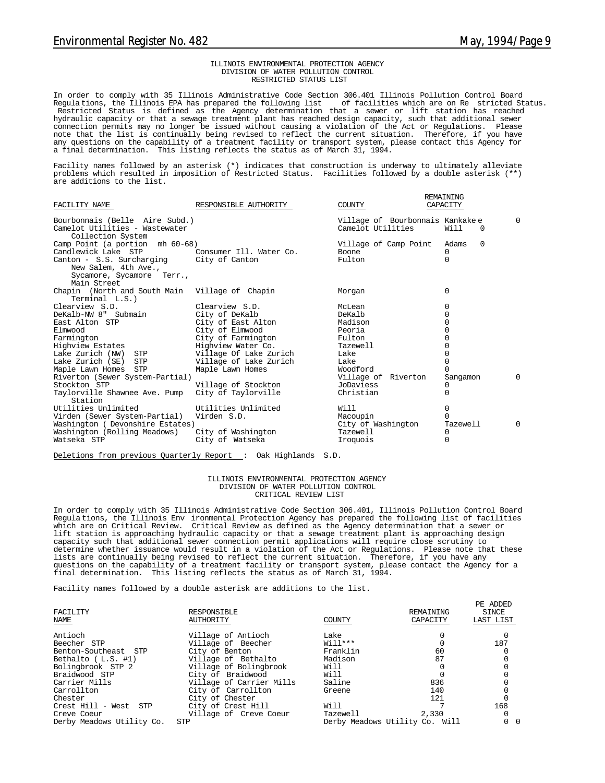#### ILLINOIS ENVIRONMENTAL PROTECTION AGENCY DIVISION OF WATER POLLUTION CONTROL RESTRICTED STATUS LIST

In order to comply with 35 Illinois Administrative Code Section 306.401 Illinois Pollution Control Board Regula tions, the Illinois EPA has prepared the following list of facilities which are on Re stricted Status. Restricted Status is defined as the Agency determination that a sewer or lift station has reached hydraulic capacity or that a sewage treatment plant has reached design capacity, such that additional sewer connection permits may no longer be issued without causing a violation of the Act or Regulations. Please note that the list is continually being revised to reflect the current situation. Therefore, if you have any questions on the capability of a treatment facility or transport system, please contact this Agency for a final determination. This listing reflects the status as of March 31, 1994.

Facility names followed by an asterisk (\*) indicates that construction is underway to ultimately alleviate problems which resulted in imposition of Restricted Status. Facilities followed by a double asterisk (\*\*) are additions to the list.

| FACILITY NAME                                                                                                | RESPONSIBLE AUTHORITY                 | COUNTY                                               | REMAINING<br>CAPACITY         |          |
|--------------------------------------------------------------------------------------------------------------|---------------------------------------|------------------------------------------------------|-------------------------------|----------|
| Bourbonnais (Belle Aire Subd.)<br>Camelot Utilities - Wastewater<br>Collection System                        |                                       | Village of Bourbonnais Kankakee<br>Camelot Utilities | Will<br>$\Omega$              | $\Omega$ |
| Camp Point (a portion mh 60-68)                                                                              |                                       | Village of Camp Point                                | $\Omega$<br>Adams             |          |
| Candlewick Lake STP                                                                                          | Consumer Ill. Water Co.               | <b>Boone</b>                                         | 0                             |          |
| Canton - S.S. Surcharging City of Canton<br>New Salem, 4th Ave.,<br>Sycamore, Sycamore Terr.,<br>Main Street |                                       | Fulton                                               | 0                             |          |
| Chapin (North and South Main Village of Chapin<br>Terminal L.S.)                                             |                                       | Morgan                                               | $\Omega$                      |          |
| Clearview S.D.                                                                                               | Clearview S.D.                        | McLean                                               | 0                             |          |
| DeKalb-NW 8" Submain                                                                                         | City of DeKalb                        | DeKalb                                               | 0                             |          |
| East Alton STP                                                                                               | City of East Alton                    | Madison                                              | 0                             |          |
| Elmwood                                                                                                      | City of Elmwood                       | Peoria                                               | $\Omega$                      |          |
| Farmington                                                                                                   | City of Farmington                    | Fulton                                               | 0                             |          |
| Highview Estates                                                                                             | Highview Water Co.                    | Tazewell                                             | 0                             |          |
| Lake Zurich (NW) STP                                                                                         | Village Of Lake Zurich                | Lake                                                 | <sup>0</sup>                  |          |
| Lake Zurich (SE) STP                                                                                         | Village of Lake Zurich                | Lake                                                 | O                             |          |
| Maple Lawn Homes STP                                                                                         | Maple Lawn Homes                      | Woodford                                             | U                             |          |
| Riverton (Sewer System-Partial)                                                                              |                                       | Village of Riverton                                  | Sangamon                      | $\Omega$ |
| Stockton STP                                                                                                 | Village of Stockton                   | JoDaviess                                            | 0                             |          |
| Taylorville Shawnee Ave. Pump<br>Station                                                                     | City of Tayloryille                   | Christian                                            | 0                             |          |
| Utilities Unlimited<br>Virden (Sewer System-Partial)<br>Washington ( Devonshire Estates)                     | Utilities Unlimited<br>Virden S.D.    | Will<br>Macoupin<br>City of Washington               | 0<br><sup>n</sup><br>Tazewell | $\Omega$ |
| Washington (Rolling Meadows)<br>Watseka STP                                                                  | City of Washington<br>City of Watseka | Tazewell<br>Iroquois                                 | 0<br>0                        |          |

Deletions from previous Quarterly Report : Oak Highlands S.D.

#### ILLINOIS ENVIRONMENTAL PROTECTION AGENCY DIVISION OF WATER POLLUTION CONTROL CRITICAL REVIEW LIST

In order to comply with 35 Illinois Administrative Code Section 306.401, Illinois Pollution Control Board Regula tions, the Illinois Env ironmental Protection Agency has prepared the following list of facilities which are on Critical Review. Critical Review as defined as the Agency determination that a sewer or lift station is approaching hydraulic capacity or that a sewage treatment plant is approaching design capacity such that additional sewer connection permit applications will require close scrutiny to determine whether issuance would result in a violation of the Act or Regulations. Please note that these<br>lists are continually being revised to reflect the current situation. Therefore, if you have any<br>questions on the c final determination. This listing reflects the status as of March 31, 1994.

Facility names followed by a double asterisk are additions to the list.

| FACILITY<br>NAME          | RESPONSIBLE<br>AUTHORITY | COUNTY    | REMAINING<br>CAPACITY          | PE ADDED<br>SINCE<br>LAST LIST |
|---------------------------|--------------------------|-----------|--------------------------------|--------------------------------|
| Antioch                   | Village of Antioch       | Lake      |                                |                                |
| Beecher STP               | Village of Beecher       | $Wi11***$ |                                | 187                            |
| Benton-Southeast STP      | City of Benton           | Franklin  | 60                             |                                |
| Bethalto $(L.S. #1)$      | Village of Bethalto      | Madison   | 87                             |                                |
| Bolingbrook STP 2         | Village of Bolingbrook   | Will      |                                |                                |
| Braidwood STP             | City of Braidwood        | Will      |                                |                                |
| Carrier Mills             | Village of Carrier Mills | Saline    | 836                            |                                |
| Carrollton                | City of Carrollton       | Greene    | 140                            |                                |
| Chester                   | City of Chester          |           | 121                            |                                |
| Crest Hill - West STP     | City of Crest Hill       | Will      |                                | 168                            |
| Creve Coeur               | Village of Creve Coeur   | Tazewell  | 2,330                          | 0                              |
| Derby Meadows Utility Co. | <b>STP</b>               |           | Derby Meadows Utility Co. Will | 0 <sub>0</sub>                 |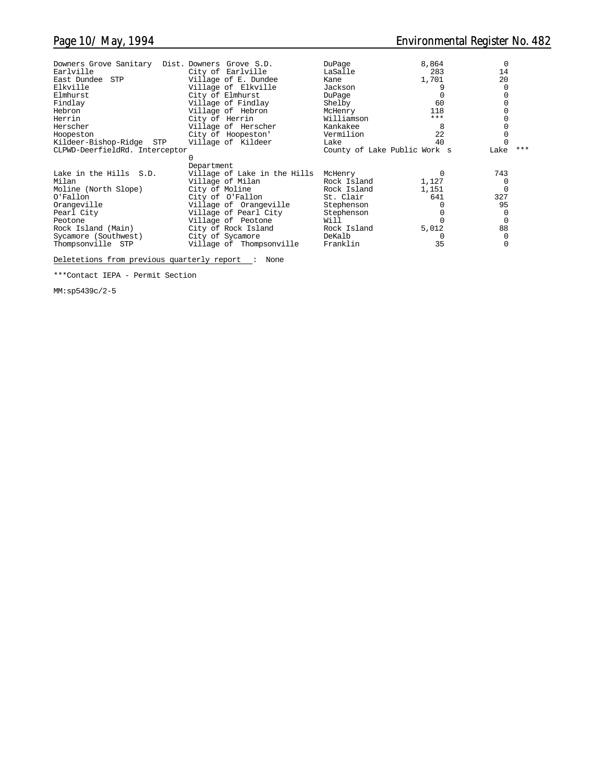| Downers Grove Sanitary Dist. Downers Grove S.D.<br>Earlville<br>East Dundee STP<br>Elkville<br>Elmhurst<br>Findlay<br>Hebron<br>Herrin<br>Herscher<br>Hoopeston<br>Kildeer-Bishop-Ridge STP | City of Earlville<br>Village of E. Dundee<br>Village of Elkville<br>City of Elmhurst<br>Village of Findlay<br>Village of Hebron<br>City of Herrin<br>Village of Herscher<br>City of Hoopeston'<br>Village of Kildeer | DuPage<br>LaSalle<br>Kane<br>Jackson<br>DuPage<br>Shelby<br>McHenry<br>Williamson<br>Kankakee<br>Vermilion<br>Lake | 8,864<br>283<br>1,701<br>60<br>118<br>$***$<br>8<br>2.2.<br>40 | $\Omega$<br>14<br>20 |  |
|---------------------------------------------------------------------------------------------------------------------------------------------------------------------------------------------|----------------------------------------------------------------------------------------------------------------------------------------------------------------------------------------------------------------------|--------------------------------------------------------------------------------------------------------------------|----------------------------------------------------------------|----------------------|--|
| CLPWD-DeerfieldRd. Interceptor                                                                                                                                                              |                                                                                                                                                                                                                      | County of Lake Public Work s                                                                                       |                                                                | $***$<br>Lake        |  |
|                                                                                                                                                                                             | Department                                                                                                                                                                                                           |                                                                                                                    |                                                                |                      |  |
| Lake in the Hills S.D.                                                                                                                                                                      | Village of Lake in the Hills                                                                                                                                                                                         | McHenry                                                                                                            | $\Omega$                                                       | 743                  |  |
| Milan<br>Moline (North Slope)                                                                                                                                                               | Village of Milan<br>City of Moline                                                                                                                                                                                   | Rock Island<br>Rock Island                                                                                         | 1,127<br>1,151                                                 | 0                    |  |
| O'Fallon                                                                                                                                                                                    | City of O'Fallon                                                                                                                                                                                                     | St. Clair                                                                                                          | 641                                                            | 327                  |  |
| Orangeville                                                                                                                                                                                 | Village of Orangeville                                                                                                                                                                                               | Stephenson                                                                                                         |                                                                | 95                   |  |
| Pearl City                                                                                                                                                                                  | Village of Pearl City                                                                                                                                                                                                | Stephenson                                                                                                         |                                                                |                      |  |
| Peotone                                                                                                                                                                                     | Village of Peotone                                                                                                                                                                                                   | Will                                                                                                               |                                                                | $\Omega$             |  |
| Rock Island (Main)                                                                                                                                                                          | City of Rock Island                                                                                                                                                                                                  | Rock Island                                                                                                        | 5,012                                                          | 88                   |  |
| Sycamore (Southwest)                                                                                                                                                                        | City of Sycamore                                                                                                                                                                                                     | DeKalb<br>Franklin                                                                                                 | 35                                                             |                      |  |
| Thompsonville STP                                                                                                                                                                           | Village of Thompsonville                                                                                                                                                                                             |                                                                                                                    |                                                                |                      |  |

Deletetions from previous quarterly report : None

\*\*\*Contact IEPA - Permit Section

MM:sp5439c/2-5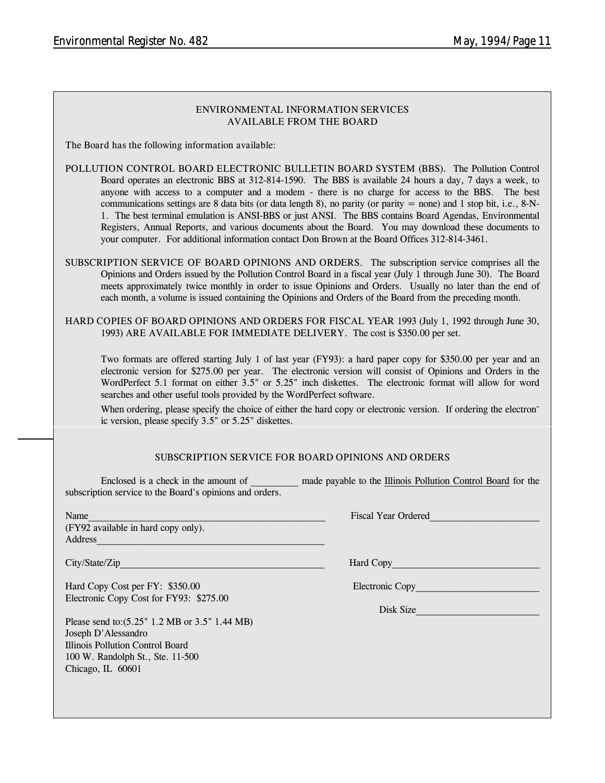### **ENVIRONMENTAL INFORMATION SERVICES AVAILABLE FROM THE BOARD**

**The Board has the following information available:**

**POLLUTION CONTROL BOARD ELECTRONIC BULLETIN BOARD SYSTEM (BBS).** The Pollution Control Board operates an electronic BBS at 312-814-1590. The BBS is available 24 hours a day, 7 days a week, to anyone with access to a computer and a modem - there is no charge for access to the BBS. The best communications settings are 8 data bits (or data length 8), no parity (or parity  $=$  none) and 1 stop bit, i.e., 8-N-1. The best terminal emulation is ANSI-BBS or just ANSI. The BBS contains Board Agendas, Environmental Registers, Annual Reports, and various documents about the Board. You may download these documents to your computer. For additional information contact Don Brown at the Board Offices 312-814-3461.

**SUBSCRIPTION SERVICE OF BOARD OPINIONS AND ORDERS.** The subscription service comprises all the Opinions and Orders issued by the Pollution Control Board in a fiscal year (July 1 through June 30). The Board meets approximately twice monthly in order to issue Opinions and Orders. Usually no later than the end of each month, a volume is issued containing the Opinions and Orders of the Board from the preceding month.

**HARD COPIES OF BOARD OPINIONS AND ORDERS FOR FISCAL YEAR 1993** (July 1, 1992 through June 30, 1993) **ARE AVAILABLE FOR IMMEDIATE DELIVERY.** The cost is \$350.00 per set.

Two formats are offered starting July 1 of last year (FY93): a hard paper copy for \$350.00 per year and an electronic version for \$275.00 per year. The electronic version will consist of Opinions and Orders in the WordPerfect 5.1 format on either 3.5" or 5.25" inch diskettes. The electronic format will allow for word searches and other useful tools provided by the WordPerfect software.

When ordering, please specify the choice of either the hard copy or electronic version. If ordering the electronic version, please specify 3.5" or 5.25" diskettes.

### **SUBSCRIPTION SERVICE FOR BOARD OPINIONS AND ORDERS**

Enclosed is a check in the amount of **and payable to the Illinois Pollution Control Board for the** subscription service to the Board's opinions and orders.

(FY92 available in hard copy only). Address\_\_\_\_\_\_\_\_\_\_\_\_\_\_\_\_\_\_\_\_\_\_\_\_\_\_\_\_\_\_\_\_\_\_\_\_\_\_\_\_\_\_\_\_\_\_\_\_

City/State/Zip **Hard Copy** 

Hard Copy Cost per FY: \$350.00 Electronic Copy Electronic Copy Cost for FY93: \$275.00

Please send to:(5.25" 1.2 MB or 3.5" 1.44 MB) Joseph D'Alessandro Illinois Pollution Control Board 100 W. Randolph St., Ste. 11-500 Chicago, IL 60601

Name and the set of the set of the set of the set of the set of the set of the set of the set of the set of the set of the set of the set of the set of the set of the set of the set of the set of the set of the set of the

Disk Size